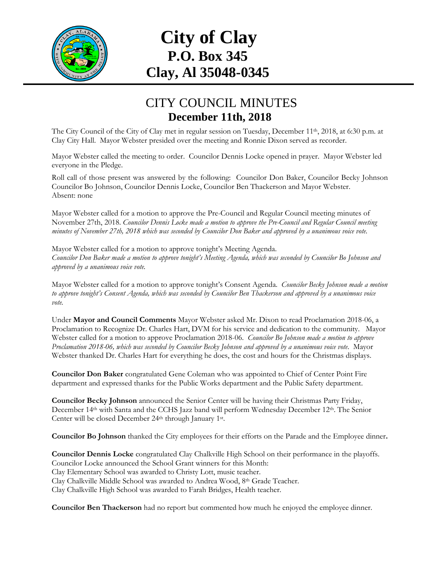

## **City of Clay P.O. Box 345 Clay, Al 35048-0345**

## CITY COUNCIL MINUTES **December 11th, 2018**

The City Council of the City of Clay met in regular session on Tuesday, December 11<sup>th</sup>, 2018, at 6:30 p.m. at Clay City Hall. Mayor Webster presided over the meeting and Ronnie Dixon served as recorder.

Mayor Webster called the meeting to order. Councilor Dennis Locke opened in prayer. Mayor Webster led everyone in the Pledge.

Roll call of those present was answered by the following: Councilor Don Baker, Councilor Becky Johnson Councilor Bo Johnson, Councilor Dennis Locke, Councilor Ben Thackerson and Mayor Webster. Absent: none

Mayor Webster called for a motion to approve the Pre-Council and Regular Council meeting minutes of November 27th, 2018. *Councilor Dennis Locke made a motion to approve the Pre-Council and Regular Council meeting minutes of November 27th, 2018 which was seconded by Councilor Don Baker and approved by a unanimous voice vote.*

Mayor Webster called for a motion to approve tonight's Meeting Agenda. *Councilor Don Baker made a motion to approve tonight's Meeting Agenda, which was seconded by Councilor Bo Johnson and approved by a unanimous voice vote.*

Mayor Webster called for a motion to approve tonight's Consent Agenda. *Councilor Becky Johnson made a motion to approve tonight's Consent Agenda, which was seconded by Councilor Ben Thackerson and approved by a unanimous voice vote.*

Under **Mayor and Council Comments** Mayor Webster asked Mr. Dixon to read Proclamation 2018-06, a Proclamation to Recognize Dr. Charles Hart, DVM for his service and dedication to the community. Mayor Webster called for a motion to approve Proclamation 2018-06. *Councilor Bo Johnson made a motion to approve Proclamation 2018-06, which was seconded by Councilor Becky Johnson and approved by a unanimous voice vote.* Mayor Webster thanked Dr. Charles Hart for everything he does, the cost and hours for the Christmas displays.

**Councilor Don Baker** congratulated Gene Coleman who was appointed to Chief of Center Point Fire department and expressed thanks for the Public Works department and the Public Safety department.

**Councilor Becky Johnson** announced the Senior Center will be having their Christmas Party Friday, December 14<sup>th</sup> with Santa and the CCHS Jazz band will perform Wednesday December 12<sup>th</sup>. The Senior Center will be closed December 24<sup>th</sup> through January 1<sup>st</sup>.

**Councilor Bo Johnson** thanked the City employees for their efforts on the Parade and the Employee dinner**.**

**Councilor Dennis Locke** congratulated Clay Chalkville High School on their performance in the playoffs. Councilor Locke announced the School Grant winners for this Month: Clay Elementary School was awarded to Christy Lott, music teacher. Clay Chalkville Middle School was awarded to Andrea Wood, 8th Grade Teacher. Clay Chalkville High School was awarded to Farah Bridges, Health teacher.

**Councilor Ben Thackerson** had no report but commented how much he enjoyed the employee dinner.